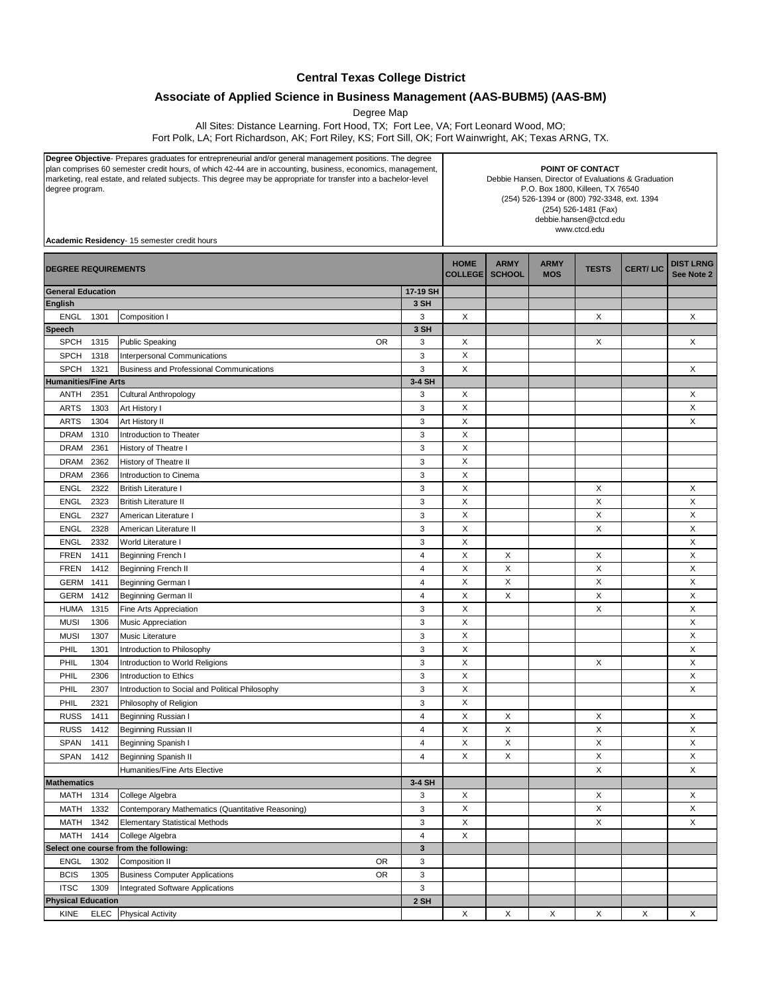## **Central Texas College District**

## **Associate of Applied Science in Business Management (AAS-BUBM5) (AAS-BM)**

Degree Map

All Sites: Distance Learning. Fort Hood, TX; Fort Lee, VA; Fort Leonard Wood, MO;

Fort Polk, LA; Fort Richardson, AK; Fort Riley, KS; Fort Sill, OK; Fort Wainwright, AK; Texas ARNG, TX.

**Degree Objective**- Prepares graduates for entrepreneurial and/or general management positions. The degree plan comprises 60 semester credit hours, of which 42-44 are in accounting, business, economics, management, marketing, real estate, and related subjects. This degree may be appropriate for transfer into a bachelor-level degree program.

**POINT OF CONTACT** Debbie Hansen, Director of Evaluations & Graduation P.O. Box 1800, Killeen, TX 76540 (254) 526-1394 or (800) 792-3348, ext. 1394 (254) 526-1481 (Fax) debbie.hansen@ctcd.edu www.ctcd.edu

| Academic Residency- 15 semester credit hours |      |                                                    |                           |                               |                              |                           |              |                 |                                |  |  |
|----------------------------------------------|------|----------------------------------------------------|---------------------------|-------------------------------|------------------------------|---------------------------|--------------|-----------------|--------------------------------|--|--|
| <b>DEGREE REQUIREMENTS</b>                   |      |                                                    |                           | <b>HOME</b><br><b>COLLEGE</b> | <b>ARMY</b><br><b>SCHOOL</b> | <b>ARMY</b><br><b>MOS</b> | <b>TESTS</b> | <b>CERT/LIC</b> | <b>DIST LRNG</b><br>See Note 2 |  |  |
| <b>General Education</b>                     |      |                                                    | 17-19 SH                  |                               |                              |                           |              |                 |                                |  |  |
| <b>English</b>                               |      |                                                    | 3 SH                      |                               |                              |                           |              |                 |                                |  |  |
| <b>ENGL</b>                                  | 1301 | Composition I                                      | 3                         | X                             |                              |                           | X            |                 | X                              |  |  |
| Speech                                       |      |                                                    | 3 SH                      |                               |                              |                           |              |                 |                                |  |  |
| <b>SPCH</b>                                  | 1315 | <b>Public Speaking</b><br>0R                       | 3                         | X                             |                              |                           | X            |                 | X                              |  |  |
| <b>SPCH</b>                                  | 1318 | <b>Interpersonal Communications</b>                | 3                         | $\pmb{\times}$                |                              |                           |              |                 |                                |  |  |
| <b>SPCH</b>                                  | 1321 | Business and Professional Communications           | 3                         | X                             |                              |                           |              |                 | X                              |  |  |
| <b>Humanities/Fine Arts</b>                  |      |                                                    | 3-4 SH                    |                               |                              |                           |              |                 |                                |  |  |
| ANTH                                         | 2351 | <b>Cultural Anthropology</b>                       | 3                         | X                             |                              |                           |              |                 | X                              |  |  |
| <b>ARTS</b>                                  | 1303 | Art History I                                      | 3                         | $\pmb{\times}$                |                              |                           |              |                 | X                              |  |  |
| <b>ARTS</b>                                  | 1304 | Art History II                                     | $\ensuremath{\mathsf{3}}$ | X                             |                              |                           |              |                 | X                              |  |  |
| <b>DRAM</b>                                  | 1310 | Introduction to Theater                            | 3                         | X                             |                              |                           |              |                 |                                |  |  |
| <b>DRAM</b>                                  | 2361 | History of Theatre I                               | $\mathsf 3$               | X                             |                              |                           |              |                 |                                |  |  |
| <b>DRAM</b>                                  | 2362 | History of Theatre II                              | 3                         | $\pmb{\times}$                |                              |                           |              |                 |                                |  |  |
| <b>DRAM</b>                                  | 2366 | Introduction to Cinema                             | 3                         | X                             |                              |                           |              |                 |                                |  |  |
| <b>ENGL</b>                                  | 2322 | <b>British Literature I</b>                        | 3                         | X                             |                              |                           | X            |                 | Х                              |  |  |
| <b>ENGL</b>                                  | 2323 | <b>British Literature II</b>                       | 3                         | X                             |                              |                           | X            |                 | X                              |  |  |
| <b>ENGL</b>                                  | 2327 | American Literature I                              | 3                         | $\mathsf X$                   |                              |                           | X            |                 | X                              |  |  |
| <b>ENGL</b>                                  | 2328 | American Literature II                             | 3                         | X                             |                              |                           | X            |                 | X                              |  |  |
| <b>ENGL</b>                                  | 2332 | World Literature I                                 | $\mathsf 3$               | X                             |                              |                           |              |                 | X                              |  |  |
| <b>FREN</b>                                  | 1411 | Beginning French I                                 | 4                         | X                             | X                            |                           | X            |                 | X                              |  |  |
| <b>FREN</b>                                  | 1412 | Beginning French II                                | 4                         | $\boldsymbol{\mathsf{X}}$     | X                            |                           | X            |                 | X                              |  |  |
| <b>GERM</b>                                  | 1411 | Beginning German I                                 | 4                         | X                             | X                            |                           | X            |                 | X                              |  |  |
| <b>GERM</b>                                  | 1412 | <b>Beginning German II</b>                         | 4                         | X                             | X                            |                           | X            |                 | Х                              |  |  |
| <b>HUMA</b>                                  | 1315 | Fine Arts Appreciation                             | 3                         | X                             |                              |                           | X            |                 | X                              |  |  |
| <b>MUSI</b>                                  | 1306 | Music Appreciation                                 | 3                         | X                             |                              |                           |              |                 | X                              |  |  |
| <b>MUSI</b>                                  | 1307 | Music Literature                                   | $\ensuremath{\mathsf{3}}$ | X                             |                              |                           |              |                 | X                              |  |  |
| PHIL                                         | 1301 | Introduction to Philosophy                         | 3                         | $\pmb{\times}$                |                              |                           |              |                 | X                              |  |  |
| PHIL                                         | 1304 | Introduction to World Religions                    | $\mathsf 3$               | $\pmb{\times}$                |                              |                           | X            |                 | X                              |  |  |
| PHIL                                         | 2306 | Introduction to Ethics                             | 3                         | X                             |                              |                           |              |                 | X                              |  |  |
| PHIL                                         | 2307 | Introduction to Social and Political Philosophy    | 3                         | X                             |                              |                           |              |                 | Х                              |  |  |
| PHIL                                         | 2321 | Philosophy of Religion                             | 3                         | X                             |                              |                           |              |                 |                                |  |  |
| <b>RUSS</b>                                  | 1411 | Beginning Russian I                                | $\overline{4}$            | $\boldsymbol{\mathsf{X}}$     | X                            |                           | X            |                 | X                              |  |  |
| <b>RUSS</b>                                  | 1412 | Beginning Russian II                               | 4                         | X                             | $\pmb{\times}$               |                           | X            |                 | X                              |  |  |
| <b>SPAN</b>                                  | 1411 | Beginning Spanish I                                | 4                         | X                             | X                            |                           | X            |                 | Х                              |  |  |
| SPAN                                         | 1412 | Beginning Spanish II                               | 4                         | X                             | X                            |                           | X            |                 | X                              |  |  |
|                                              |      | <b>Humanities/Fine Arts Elective</b>               |                           |                               |                              |                           | X            |                 | X                              |  |  |
| <b>Mathematics</b>                           |      |                                                    | 3-4 SH                    |                               |                              |                           |              |                 |                                |  |  |
| MATH 1314                                    |      | College Algebra                                    | 3                         | X                             |                              |                           | X            |                 | X                              |  |  |
| MATH 1332                                    |      | Contemporary Mathematics (Quantitative Reasoning)  | 3                         | X                             |                              |                           | X            |                 | X                              |  |  |
| MATH                                         | 1342 | <b>Elementary Statistical Methods</b>              | 3                         | X                             |                              |                           | X            |                 | X                              |  |  |
| <b>MATH</b>                                  | 1414 | College Algebra                                    | 4                         | $\mathsf X$                   |                              |                           |              |                 |                                |  |  |
|                                              |      | Select one course from the following:              | $\mathbf 3$               |                               |                              |                           |              |                 |                                |  |  |
| ENGL                                         | 1302 | Composition II<br><b>OR</b>                        | 3                         |                               |                              |                           |              |                 |                                |  |  |
| <b>BCIS</b>                                  | 1305 | <b>OR</b><br><b>Business Computer Applications</b> | 3                         |                               |                              |                           |              |                 |                                |  |  |
| <b>ITSC</b>                                  | 1309 | Integrated Software Applications                   | 3                         |                               |                              |                           |              |                 |                                |  |  |
| <b>Physical Education</b>                    |      |                                                    | 2 SH                      |                               |                              |                           |              |                 |                                |  |  |
| KINE                                         |      | <b>ELEC</b> Physical Activity                      |                           | X                             | Х                            | X                         | X            | Х               | X                              |  |  |